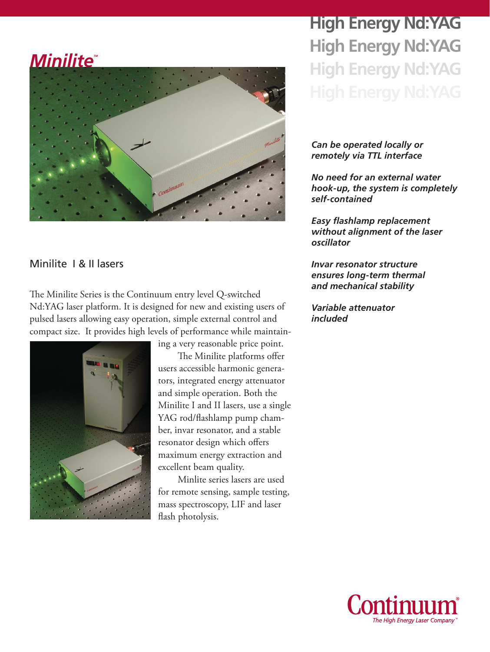# *Minilite*



### Minilite I & II lasers

The Minilite Series is the Continuum entry level Q-switched Nd:YAG laser platform. It is designed for new and existing users of pulsed lasers allowing easy operation, simple external control and compact size. It provides high levels of performance while maintain-



ing a very reasonable price point.

The Minilite platforms offer users accessible harmonic generators, integrated energy attenuator and simple operation. Both the Minilite I and II lasers, use a single YAG rod/flashlamp pump chamber, invar resonator, and a stable resonator design which offers maximum energy extraction and excellent beam quality.

Minlite series lasers are used for remote sensing, sample testing, mass spectroscopy, LIF and laser flash photolysis.

## **High Energy Nd:YAG High Energy Nd:YAG High Energy Nd:YAG**

#### *Can be operated locally or remotely via TTL interface*

*No need for an external water hook-up, the system is completely self-contained*

*Easy flashlamp replacement without alignment of the laser oscillator*

*Invar resonator structure ensures long-term thermal and mechanical stability*

*Variable attenuator included*

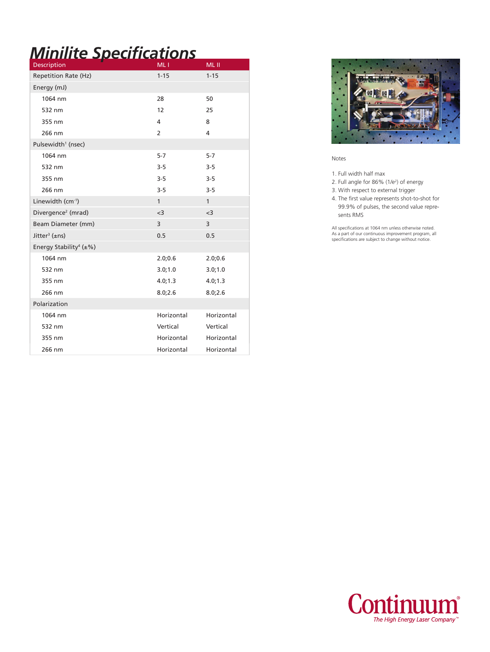## *Minilite Specifications*

| Description                               | ML <sub>1</sub> | ML II        |
|-------------------------------------------|-----------------|--------------|
| <b>Repetition Rate (Hz)</b>               | $1 - 15$        | $1 - 15$     |
| Energy (mJ)                               |                 |              |
| 1064 nm                                   | 28              | 50           |
| 532 nm                                    | 12              | 25           |
| 355 nm                                    | 4               | 8            |
| 266 nm                                    | $\overline{2}$  | 4            |
| Pulsewidth <sup>1</sup> (nsec)            |                 |              |
| 1064 nm                                   | $5 - 7$         | $5 - 7$      |
| 532 nm                                    | $3 - 5$         | $3 - 5$      |
| 355 nm                                    | $3-5$           | $3 - 5$      |
| 266 nm                                    | $3 - 5$         | $3 - 5$      |
| Linewidth (cm-1)                          | $\mathbf{1}$    | $\mathbf{1}$ |
| Divergence <sup>2</sup> (mrad)            | $<$ 3           | $3$          |
| Beam Diameter (mm)                        | 3               | 3            |
| Jitter <sup>3</sup> ( $\pm$ ns)           | 0.5             | 0.5          |
| Energy Stability <sup>4</sup> ( $\pm\%$ ) |                 |              |
| 1064 nm                                   | 2.0;0.6         | 2.0;0.6      |
| 532 nm                                    | 3.0;1.0         | 3.0;1.0      |
| 355 nm                                    | 4.0; 1.3        | 4.0; 1.3     |
| 266 nm                                    | 8.0;2.6         | 8.0;2.6      |
| Polarization                              |                 |              |
| 1064 nm                                   | Horizontal      | Horizontal   |
| 532 nm                                    | Vertical        | Vertical     |
| 355 nm                                    | Horizontal      | Horizontal   |
| 266 nm                                    | Horizontal      | Horizontal   |



Notes

1. Full width half max

2. Full angle for 86% (1/e2 ) of energy

3. With respect to external trigger

4. The first value represents shot-to-shot for 99.9% of pulses, the second value repre sents RMS

All specifications at 1064 nm unless otherwise noted. As a part of our continuous improvement program, all specifications are subject to change without notice.